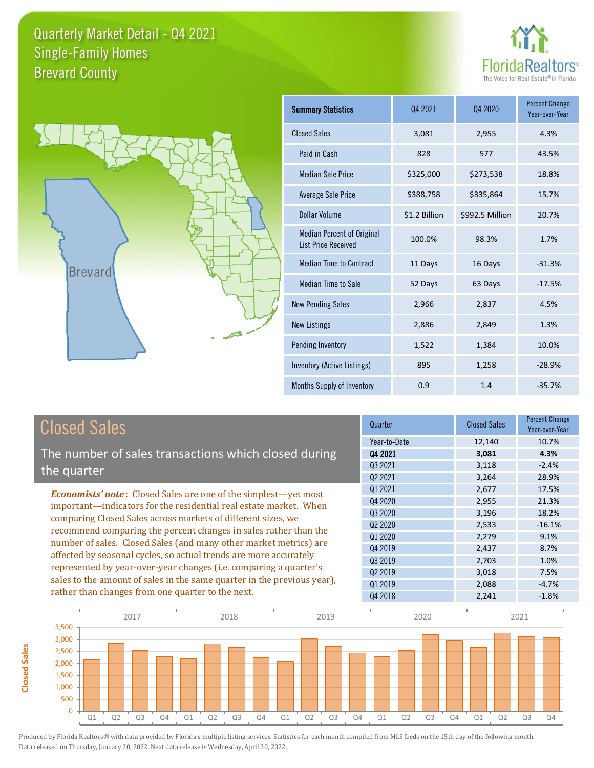



**Closed Sales**

**Closed Sales** 

| <b>Summary Statistics</b>                                       | 04 2021       | Q4 2020         | <b>Percent Change</b><br>Year-over-Year |  |
|-----------------------------------------------------------------|---------------|-----------------|-----------------------------------------|--|
| <b>Closed Sales</b>                                             | 3,081         | 2,955           | 4.3%                                    |  |
| Paid in Cash                                                    | 828           | 577             | 43.5%                                   |  |
| <b>Median Sale Price</b>                                        | \$325,000     | \$273,538       | 18.8%                                   |  |
| <b>Average Sale Price</b>                                       | \$388,758     | \$335,864       | 15.7%                                   |  |
| Dollar Volume                                                   | \$1.2 Billion | \$992.5 Million | 20.7%                                   |  |
| <b>Median Percent of Original</b><br><b>List Price Received</b> | 100.0%        | 98.3%           | 1.7%                                    |  |
| <b>Median Time to Contract</b>                                  | 11 Days       | 16 Days         | $-31.3%$                                |  |
| <b>Median Time to Sale</b>                                      | 52 Days       | 63 Days         | $-17.5%$                                |  |
| <b>New Pending Sales</b>                                        | 2,966         | 2,837           | 4.5%                                    |  |
| <b>New Listings</b>                                             | 2,886         | 2,849           | 1.3%                                    |  |
| Pending Inventory                                               | 1,522         | 1,384           | 10.0%                                   |  |
| Inventory (Active Listings)                                     | 895           | 1,258           | $-28.9%$                                |  |
| Months Supply of Inventory                                      | 0.9           | 1.4             | $-35.7%$                                |  |

| <b>Closed Sales</b>                                                     | Quarter             | <b>Closed Sales</b> | <b>Percent Change</b><br>Year-over-Year |
|-------------------------------------------------------------------------|---------------------|---------------------|-----------------------------------------|
|                                                                         | Year-to-Date        | 12,140              | 10.7%                                   |
| The number of sales transactions which closed during                    | 04 2021             | 3,081               | 4.3%                                    |
| the quarter                                                             | Q3 2021             | 3,118               | $-2.4%$                                 |
|                                                                         | Q <sub>2</sub> 2021 | 3,264               | 28.9%                                   |
| <b>Economists' note:</b> Closed Sales are one of the simplest—yet most  | Q1 2021             | 2,677               | 17.5%                                   |
| important—indicators for the residential real estate market. When       | Q4 2020             | 2,955               | 21.3%                                   |
| comparing Closed Sales across markets of different sizes, we            | 03 20 20            | 3,196               | 18.2%                                   |
| recommend comparing the percent changes in sales rather than the        | Q <sub>2</sub> 2020 | 2,533               | $-16.1%$                                |
|                                                                         | Q1 2020             | 2,279               | 9.1%                                    |
| number of sales. Closed Sales (and many other market metrics) are       | Q4 2019             | 2,437               | 8.7%                                    |
| affected by seasonal cycles, so actual trends are more accurately       | 03 2019             | 2,703               | 1.0%                                    |
| represented by year-over-year changes (i.e. comparing a quarter's       | Q <sub>2</sub> 2019 | 3,018               | 7.5%                                    |
| sales to the amount of sales in the same quarter in the previous year), | 01 2019             | 2,088               | $-4.7%$                                 |
| rather than changes from one quarter to the next.                       | Q4 2018             | 2.241               | $-1.8%$                                 |

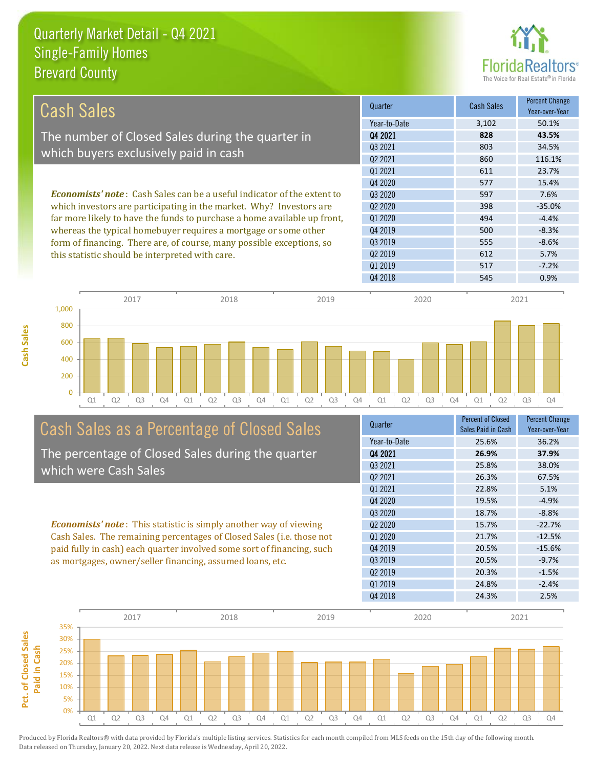**Cash Sales**



| Cash Sales                                                                     | Quarter      | <b>Cash Sales</b> | <b>Percent Change</b><br>Year-over-Year |
|--------------------------------------------------------------------------------|--------------|-------------------|-----------------------------------------|
|                                                                                | Year-to-Date | 3,102             | 50.1%                                   |
| The number of Closed Sales during the quarter in                               | Q4 2021      | 828               | 43.5%                                   |
| which buyers exclusively paid in cash                                          | Q3 2021      | 803               | 34.5%                                   |
|                                                                                | 02 2021      | 860               | 116.1%                                  |
|                                                                                | 01 2021      | 611               | 23.7%                                   |
|                                                                                | Q4 2020      | 577               | 15.4%                                   |
| <b>Economists' note:</b> Cash Sales can be a useful indicator of the extent to | 03 2020      | 597               | 7.6%                                    |
| which investors are participating in the market. Why? Investors are            | 02 2020      | 398               | $-35.0%$                                |
| far more likely to have the funds to purchase a home available up front,       | 01 2020      | 494               | $-4.4%$                                 |
| whereas the typical homebuyer requires a mortgage or some other                | 04 2019      | 500               | $-8.3%$                                 |
| form of financing. There are, of course, many possible exceptions, so          | 03 2019      | 555               | $-8.6%$                                 |
| this statistic should be interpreted with care.                                | 02 2019      | 612               | 5.7%                                    |
|                                                                                | 01 2019      | 517               | $-7.2%$                                 |



# Cash Sales as a Percentage of Closed Sales

The percentage of Closed Sales during the quarter which were Cash Sales

*Economists' note* : This statistic is simply another way of viewing Cash Sales. The remaining percentages of Closed Sales (i.e. those not paid fully in cash) each quarter involved some sort of financing, such as mortgages, owner/seller financing, assumed loans, etc.



Q4 2018 **545** 0.9%

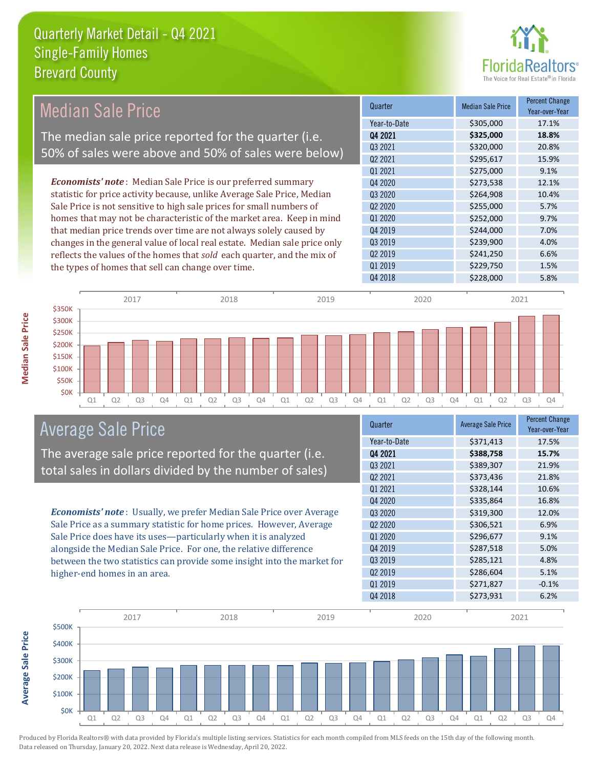

#### Median Sale Price

The median sale price reported for the quarter (i.e. 50% of sales were above and 50% of sales were below)

*Economists' note* : Median Sale Price is our preferred summary statistic for price activity because, unlike Average Sale Price, Median Sale Price is not sensitive to high sale prices for small numbers of homes that may not be characteristic of the market area. Keep in mind that median price trends over time are not always solely caused by changes in the general value of local real estate. Median sale price only reflects the values of the homes that *sold* each quarter, and the mix of the types of homes that sell can change over time.

| Quarter             | <b>Median Sale Price</b> | <b>Percent Change</b><br>Year-over-Year |
|---------------------|--------------------------|-----------------------------------------|
| Year-to-Date        | \$305,000                | 17.1%                                   |
| Q4 2021             | \$325,000                | 18.8%                                   |
| Q3 2021             | \$320,000                | 20.8%                                   |
| Q2 2021             | \$295,617                | 15.9%                                   |
| Q1 2021             | \$275,000                | 9.1%                                    |
| Q4 2020             | \$273,538                | 12.1%                                   |
| Q3 2020             | \$264,908                | 10.4%                                   |
| Q2 2020             | \$255,000                | 5.7%                                    |
| Q1 2020             | \$252,000                | 9.7%                                    |
| Q4 2019             | \$244,000                | 7.0%                                    |
| Q3 2019             | \$239,900                | 4.0%                                    |
| Q <sub>2</sub> 2019 | \$241,250                | 6.6%                                    |
| Q1 2019             | \$229,750                | 1.5%                                    |
| Q4 2018             | \$228,000                | 5.8%                                    |



#### Average Sale Price

The average sale price reported for the quarter (i.e. total sales in dollars divided by the number of sales)

*Economists' note* : Usually, we prefer Median Sale Price over Average Sale Price as a summary statistic for home prices. However, Average Sale Price does have its uses—particularly when it is analyzed alongside the Median Sale Price. For one, the relative difference between the two statistics can provide some insight into the market for higher-end homes in an area.

| \$371,413<br>17.5%<br>Year-to-Date<br>04 2021<br>\$388,758<br>15.7%<br>03 2021<br>\$389,307<br>21.9%<br>Q <sub>2</sub> 2021<br>\$373,436<br>21.8%<br>Q1 2021<br>\$328,144<br>10.6% | Quarter | <b>Average Sale Price</b> | <b>Percent Change</b><br>Year-over-Year |
|------------------------------------------------------------------------------------------------------------------------------------------------------------------------------------|---------|---------------------------|-----------------------------------------|
|                                                                                                                                                                                    |         |                           |                                         |
|                                                                                                                                                                                    |         |                           |                                         |
|                                                                                                                                                                                    |         |                           |                                         |
|                                                                                                                                                                                    |         |                           |                                         |
|                                                                                                                                                                                    |         |                           |                                         |
| 16.8%                                                                                                                                                                              | Q4 2020 | \$335,864                 |                                         |
| Q3 2020<br>\$319,300<br>12.0%                                                                                                                                                      |         |                           |                                         |
| \$306,521<br>Q <sub>2</sub> 20 <sub>20</sub><br>6.9%                                                                                                                               |         |                           |                                         |
| 01 2020<br>\$296,677<br>9.1%                                                                                                                                                       |         |                           |                                         |
| Q4 2019<br>\$287,518<br>5.0%                                                                                                                                                       |         |                           |                                         |
| Q3 2019<br>\$285,121<br>4.8%                                                                                                                                                       |         |                           |                                         |
| Q <sub>2</sub> 2019<br>\$286,604<br>5.1%                                                                                                                                           |         |                           |                                         |
| Q1 2019<br>\$271,827<br>$-0.1%$                                                                                                                                                    |         |                           |                                         |
| Q4 2018<br>\$273,931<br>6.2%                                                                                                                                                       |         |                           |                                         |



Produced by Florida Realtors® with data provided by Florida's multiple listing services. Statistics for each month compiled from MLS feeds on the 15th day of the following month. Data released on Thursday, January 20, 2022. Next data release is Wednesday, April 20, 2022.

**Average Sale Price**

**Average Sale Price**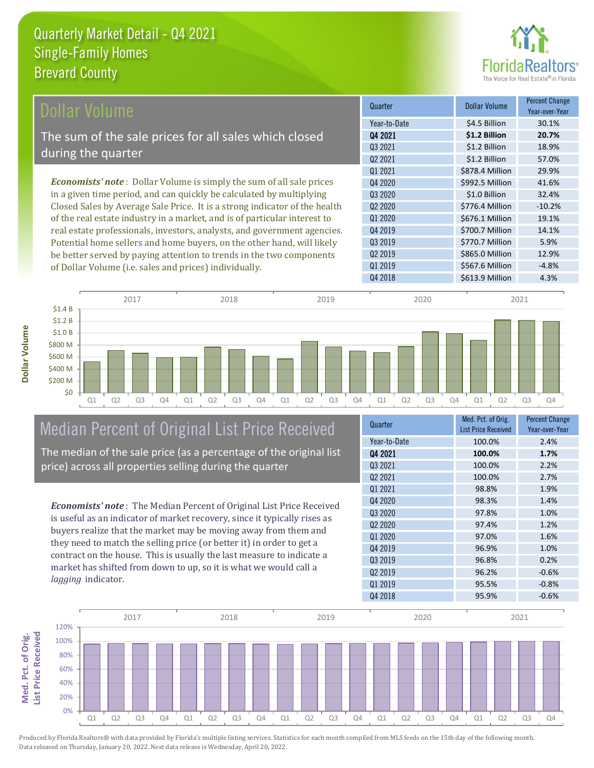

| Dollar Volume                                                                | Quarter             | <b>Dollar Volume</b> | <b>Percent Change</b><br>Year-over-Year |
|------------------------------------------------------------------------------|---------------------|----------------------|-----------------------------------------|
|                                                                              | Year-to-Date        | \$4.5 Billion        | 30.1%                                   |
| The sum of the sale prices for all sales which closed                        | Q4 2021             | \$1.2 Billion        | 20.7%                                   |
| during the quarter                                                           | Q3 2021             | \$1.2 Billion        | 18.9%                                   |
|                                                                              | Q <sub>2</sub> 2021 | \$1.2 Billion        | 57.0%                                   |
|                                                                              | Q1 2021             | \$878.4 Million      | 29.9%                                   |
| <b>Economists' note</b> : Dollar Volume is simply the sum of all sale prices | Q4 2020             | \$992.5 Million      | 41.6%                                   |
| in a given time period, and can quickly be calculated by multiplying         | Q3 2020             | \$1.0 Billion        | 32.4%                                   |
| Closed Sales by Average Sale Price. It is a strong indicator of the health   | Q <sub>2</sub> 2020 | \$776.4 Million      | $-10.2%$                                |
| of the real estate industry in a market, and is of particular interest to    | 01 2020             | \$676.1 Million      | 19.1%                                   |
| real estate professionals, investors, analysts, and government agencies.     | Q4 2019             | \$700.7 Million      | 14.1%                                   |
| Potential home sellers and home buyers, on the other hand, will likely       | Q3 2019             | \$770.7 Million      | 5.9%                                    |
| be better served by paying attention to trends in the two components         | 02 2019             | \$865.0 Million      | 12.9%                                   |

of Dollar Volume (i.e. sales and prices) individually.

|         |    |    | 2017 |    |    |    | 2018           |    |    |                | 2019           |    |    |    | 2020           |    |    |                | 2021           |                |
|---------|----|----|------|----|----|----|----------------|----|----|----------------|----------------|----|----|----|----------------|----|----|----------------|----------------|----------------|
| \$1.4B  |    |    |      |    |    |    |                |    |    |                |                |    |    |    |                |    |    |                |                |                |
| \$1.2 B |    |    |      |    |    |    |                |    |    |                |                |    |    |    |                |    |    |                |                |                |
| \$1.0 B |    |    |      |    |    |    |                |    |    |                |                |    |    |    |                |    |    |                |                |                |
| \$800 M |    |    |      |    |    |    |                |    |    |                |                |    |    |    |                |    |    |                |                |                |
| \$600 M |    |    |      |    |    |    |                |    |    |                |                |    |    |    |                |    |    |                |                |                |
| \$400 M |    |    |      |    |    |    |                |    |    |                |                |    |    |    |                |    |    |                |                |                |
| \$200 M |    |    |      |    |    |    |                |    |    |                |                |    |    |    |                |    |    |                |                |                |
| \$0     |    |    |      |    |    |    |                |    |    |                |                |    |    |    |                |    |    |                |                |                |
|         | Q1 | Q2 | Q3   | Q4 | Q1 | Q2 | Q <sub>3</sub> | Q4 | Q1 | Q <sub>2</sub> | Q <sub>3</sub> | Q4 | Q1 | Q2 | Q <sub>3</sub> | Q4 | Q1 | Q <sub>2</sub> | Q <sub>3</sub> | Q <sub>4</sub> |

## Median Percent of Original List Price Received

The median of the sale price (as a percentage of the original list price) across all properties selling during the quarter

*Economists' note* : The Median Percent of Original List Price Received is useful as an indicator of market recovery, since it typically rises as buyers realize that the market may be moving away from them and they need to match the selling price (or better it) in order to get a contract on the house. This is usually the last measure to indicate a market has shifted from down to up, so it is what we would call a *lagging* indicator.

| Quarter                         | Med. Pct. of Orig.<br><b>List Price Received</b> | <b>Percent Change</b><br>Year-over-Year |
|---------------------------------|--------------------------------------------------|-----------------------------------------|
| Year-to-Date                    | 100.0%                                           | 2.4%                                    |
| Q4 2021                         | 100.0%                                           | 1.7%                                    |
| 03 2021                         | 100.0%                                           | 2.2%                                    |
| Q <sub>2</sub> 2021             | 100.0%                                           | 2.7%                                    |
| Q1 2021                         | 98.8%                                            | 1.9%                                    |
| Q4 2020                         | 98.3%                                            | 1.4%                                    |
| Q3 2020                         | 97.8%                                            | 1.0%                                    |
| Q <sub>2</sub> 20 <sub>20</sub> | 97.4%                                            | 1.2%                                    |
| Q1 2020                         | 97.0%                                            | 1.6%                                    |
| Q4 2019                         | 96.9%                                            | 1.0%                                    |
| Q3 2019                         | 96.8%                                            | 0.2%                                    |
| Q <sub>2</sub> 2019             | 96.2%                                            | $-0.6%$                                 |
| Q1 2019                         | 95.5%                                            | $-0.8%$                                 |
| Q4 2018                         | 95.9%                                            | $-0.6%$                                 |

Q4 2018 \$613.9 Million 4.3%

Q1 2019 **\$567.6 Million** -4.8%

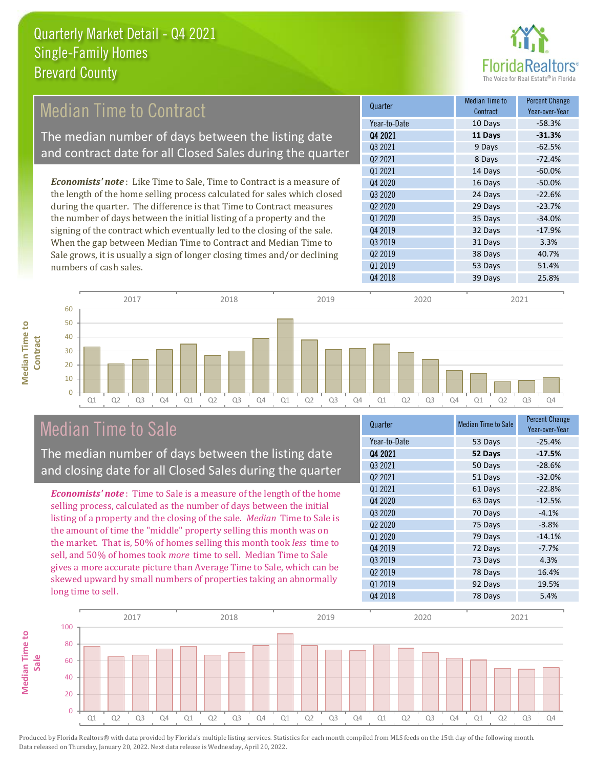

#### Median Time to Contract

The median number of days between the listing date and contract date for all Closed Sales during the quarter

*Economists' note* : Like Time to Sale, Time to Contract is a measure of the length of the home selling process calculated for sales which closed during the quarter. The difference is that Time to Contract measures the number of days between the initial listing of a property and the signing of the contract which eventually led to the closing of the sale. When the gap between Median Time to Contract and Median Time to Sale grows, it is usually a sign of longer closing times and/or declining numbers of cash sales.

| Quarter             | Median Time to<br>Contract | <b>Percent Change</b><br>Year-over-Year |
|---------------------|----------------------------|-----------------------------------------|
| Year-to-Date        | 10 Days                    | $-58.3%$                                |
| Q4 2021             | 11 Days                    | $-31.3%$                                |
| 03 2021             | 9 Days                     | $-62.5%$                                |
| Q2 2021             | 8 Days                     | $-72.4%$                                |
| Q1 2021             | 14 Days                    | $-60.0%$                                |
| Q4 2020             | 16 Days                    | $-50.0%$                                |
| Q3 2020             | 24 Days                    | $-22.6%$                                |
| 02 2020             | 29 Days                    | $-23.7%$                                |
| Q1 2020             | 35 Days                    | $-34.0%$                                |
| Q4 2019             | 32 Days                    | $-17.9%$                                |
| 03 2019             | 31 Days                    | 3.3%                                    |
| Q <sub>2</sub> 2019 | 38 Days                    | 40.7%                                   |
| Q1 2019             | 53 Days                    | 51.4%                                   |
| Q4 2018             | 39 Days                    | 25.8%                                   |



#### Median Time to Sale

**Median Time to Contract**

**Median Time to** 

The median number of days between the listing date and closing date for all Closed Sales during the quarter

*Economists' note* : Time to Sale is a measure of the length of the home selling process, calculated as the number of days between the initial listing of a property and the closing of the sale. *Median* Time to Sale is the amount of time the "middle" property selling this month was on the market. That is, 50% of homes selling this month took *less* time to sell, and 50% of homes took *more* time to sell. Median Time to Sale gives a more accurate picture than Average Time to Sale, which can be skewed upward by small numbers of properties taking an abnormally long time to sell.

| Quarter             | <b>Median Time to Sale</b> | <b>Percent Change</b><br>Year-over-Year |
|---------------------|----------------------------|-----------------------------------------|
| Year-to-Date        | 53 Days                    | $-25.4%$                                |
| Q4 2021             | 52 Days                    | $-17.5%$                                |
| 03 2021             | 50 Days                    | $-28.6%$                                |
| Q2 2021             | 51 Days                    | $-32.0%$                                |
| Q1 2021             | 61 Days                    | $-22.8%$                                |
| Q4 2020             | 63 Days                    | $-12.5%$                                |
| Q3 2020             | 70 Days                    | $-4.1%$                                 |
| Q <sub>2</sub> 2020 | 75 Days                    | $-3.8%$                                 |
| 01 2020             | 79 Days                    | $-14.1%$                                |
| Q4 2019             | 72 Days                    | $-7.7%$                                 |
| Q3 2019             | 73 Days                    | 4.3%                                    |
| Q <sub>2</sub> 2019 | 78 Days                    | 16.4%                                   |
| Q1 2019             | 92 Days                    | 19.5%                                   |
| Q4 2018             | 78 Days                    | 5.4%                                    |

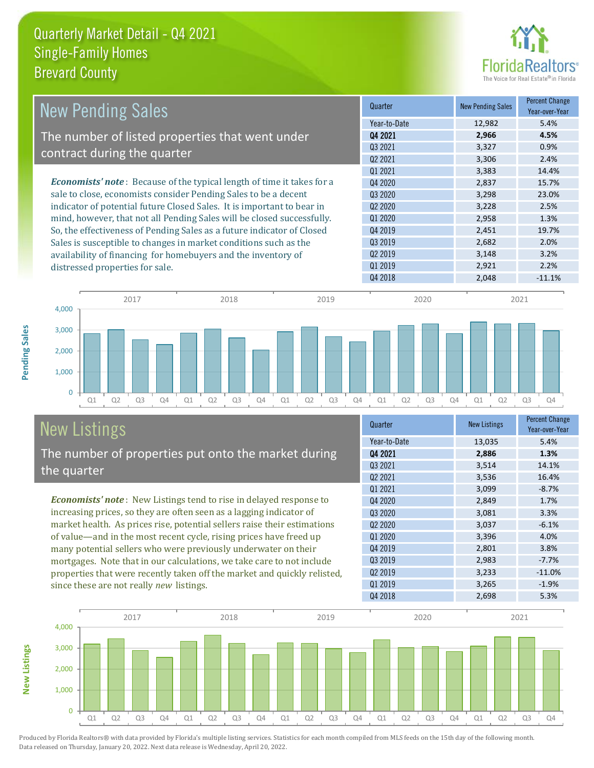

| <b>New Pending Sales</b>                                                      | Quarter             | <b>New Pending Sales</b> | <b>Percent Change</b><br>Year-over-Year |
|-------------------------------------------------------------------------------|---------------------|--------------------------|-----------------------------------------|
|                                                                               | Year-to-Date        | 12,982                   | 5.4%                                    |
| The number of listed properties that went under                               | Q4 2021             | 2,966                    | 4.5%                                    |
| contract during the quarter                                                   | 03 2021             | 3,327                    | 0.9%                                    |
|                                                                               | Q <sub>2</sub> 2021 | 3,306                    | 2.4%                                    |
|                                                                               | 01 2021             | 3,383                    | 14.4%                                   |
| <b>Economists' note:</b> Because of the typical length of time it takes for a | Q4 2020             | 2,837                    | 15.7%                                   |
| sale to close, economists consider Pending Sales to be a decent               | Q3 2020             | 3,298                    | 23.0%                                   |
| indicator of potential future Closed Sales. It is important to bear in        | Q <sub>2</sub> 2020 | 3,228                    | 2.5%                                    |
| mind, however, that not all Pending Sales will be closed successfully.        | Q1 2020             | 2,958                    | 1.3%                                    |
| So, the effectiveness of Pending Sales as a future indicator of Closed        | Q4 2019             | 2,451                    | 19.7%                                   |
| Sales is susceptible to changes in market conditions such as the              | Q3 2019             | 2,682                    | 2.0%                                    |
| availability of financing for homebuyers and the inventory of                 | 02 2019             | 3,148                    | 3.2%                                    |
| distressed properties for sale.                                               | 01 2019             | 2,921                    | 2.2%                                    |
|                                                                               | Q4 2018             | 2,048                    | $-11.1%$                                |



### New Listings The number of properties put onto the market during

*Economists' note* : New Listings tend to rise in delayed response to increasing prices, so they are often seen as a lagging indicator of market health. As prices rise, potential sellers raise their estimations the quarter

of value—and in the most recent cycle, rising prices have freed up many potential sellers who were previously underwater on their mortgages. Note that in our calculations, we take care to not include properties that were recently taken off the market and quickly relisted, since these are not really *new* listings.

| Quarter                         | <b>New Listings</b> | <b>Percent Change</b><br>Year-over-Year |
|---------------------------------|---------------------|-----------------------------------------|
| Year-to-Date                    | 13,035              | 5.4%                                    |
| Q4 2021                         | 2,886               | 1.3%                                    |
| 03 2021                         | 3,514               | 14.1%                                   |
| Q <sub>2</sub> 2021             | 3,536               | 16.4%                                   |
| 01 2021                         | 3,099               | $-8.7%$                                 |
| Q4 2020                         | 2,849               | 1.7%                                    |
| Q3 2020                         | 3,081               | 3.3%                                    |
| Q <sub>2</sub> 20 <sub>20</sub> | 3,037               | $-6.1%$                                 |
| 01 2020                         | 3,396               | 4.0%                                    |
| Q4 2019                         | 2,801               | 3.8%                                    |
| 03 2019                         | 2,983               | $-7.7%$                                 |
| Q <sub>2</sub> 2019             | 3,233               | $-11.0%$                                |
| Q1 2019                         | 3,265               | $-1.9%$                                 |
| Q4 2018                         | 2,698               | 5.3%                                    |



Produced by Florida Realtors® with data provided by Florida's multiple listing services. Statistics for each month compiled from MLS feeds on the 15th day of the following month. Data released on Thursday, January 20, 2022. Next data release is Wednesday, April 20, 2022.

**New Listings**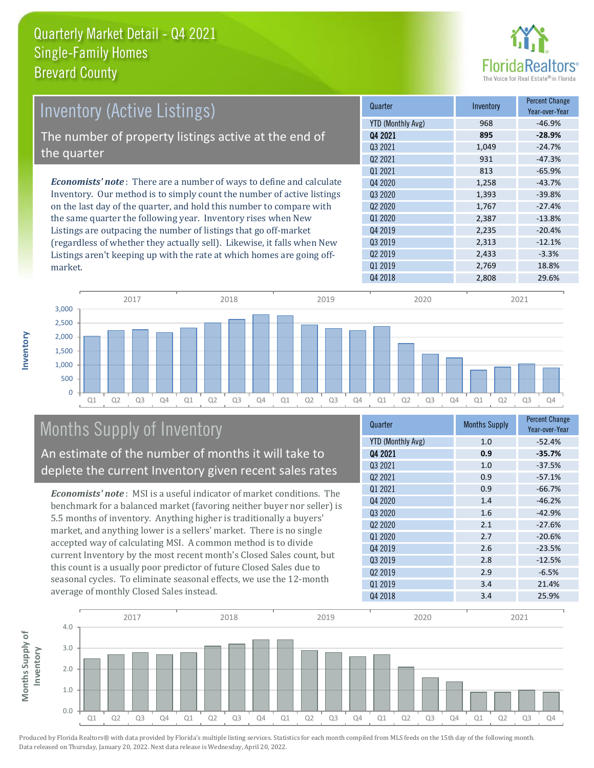

| <b>Inventory (Active Listings)</b>                                           | Quarter             | Inventory | <b>Percent Change</b><br>Year-over-Year |
|------------------------------------------------------------------------------|---------------------|-----------|-----------------------------------------|
|                                                                              | YTD (Monthly Avg)   | 968       | $-46.9%$                                |
| The number of property listings active at the end of                         | Q4 2021             | 895       | $-28.9%$                                |
|                                                                              | 03 2021             | 1.049     | $-24.7%$                                |
| the quarter                                                                  | Q <sub>2</sub> 2021 | 931       | $-47.3%$                                |
|                                                                              | 01 2021             | 813       | $-65.9%$                                |
| <b>Economists' note</b> : There are a number of ways to define and calculate | Q4 2020             | 1,258     | $-43.7%$                                |
| Inventory. Our method is to simply count the number of active listings       | 03 2020             | 1,393     | $-39.8%$                                |
| on the last day of the quarter, and hold this number to compare with         | 02 2020             | 1.767     | $-27.4%$                                |
| the same quarter the following year. Inventory rises when New                | Q1 2020             | 2,387     | $-13.8%$                                |
| Listings are outpacing the number of listings that go off-market             | Q4 2019             | 2,235     | $-20.4%$                                |
| (regardless of whether they actually sell). Likewise, it falls when New      | Q3 2019             | 2,313     | $-12.1%$                                |
| Listings aren't keeping up with the rate at which homes are going off-       | Q <sub>2</sub> 2019 | 2,433     | $-3.3%$                                 |



### Months Supply of Inventory

market.

**Inventory**

An estimate of the number of months it will take to deplete the current Inventory given recent sales rates

*Economists' note* : MSI is a useful indicator of market conditions. The benchmark for a balanced market (favoring neither buyer nor seller) is 5.5 months of inventory. Anything higher is traditionally a buyers' market, and anything lower is a sellers' market. There is no single accepted way of calculating MSI. A common method is to divide current Inventory by the most recent month's Closed Sales count, but this count is a usually poor predictor of future Closed Sales due to seasonal cycles. To eliminate seasonal effects, we use the 12-month average of monthly Closed Sales instead.

| Quarter                         | <b>Months Supply</b> | <b>Percent Change</b><br>Year-over-Year |
|---------------------------------|----------------------|-----------------------------------------|
| <b>YTD (Monthly Avg)</b>        | 1.0                  | $-52.4%$                                |
| Q4 2021                         | 0.9                  | $-35.7%$                                |
| 03 2021                         | 1.0                  | $-37.5%$                                |
| Q <sub>2</sub> 2021             | 0.9                  | $-57.1%$                                |
| 01 2021                         | 0.9                  | $-66.7%$                                |
| Q4 2020                         | 1.4                  | $-46.2%$                                |
| Q3 2020                         | 1.6                  | $-42.9%$                                |
| Q <sub>2</sub> 20 <sub>20</sub> | 2.1                  | $-27.6%$                                |
| 01 2020                         | 2.7                  | $-20.6%$                                |
| Q4 2019                         | 2.6                  | $-23.5%$                                |
| Q3 2019                         | 2.8                  | $-12.5%$                                |
| Q <sub>2</sub> 2019             | 2.9                  | $-6.5%$                                 |
| Q1 2019                         | 3.4                  | 21.4%                                   |
| Q4 2018                         | 3.4                  | 25.9%                                   |

Q1 2019 2,769 18.8%

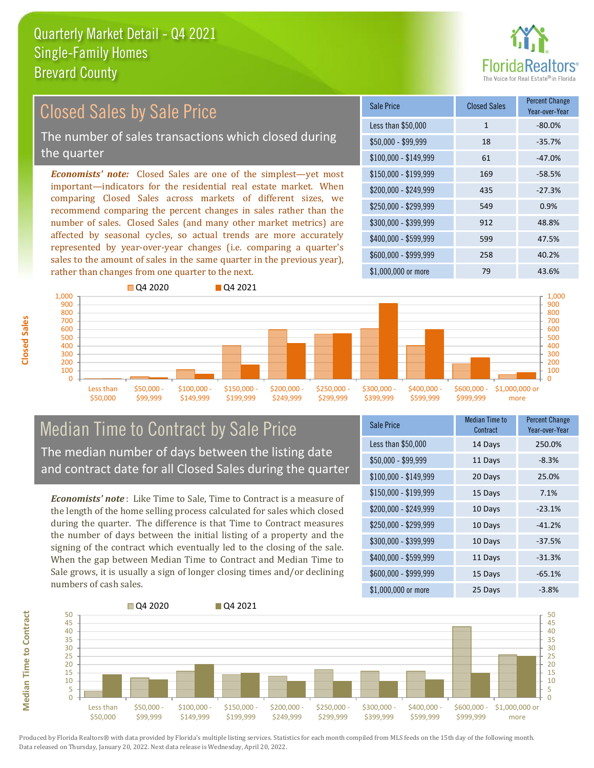

#### *Economists' note:* Closed Sales are one of the simplest—yet most important—indicators for the residential real estate market. When comparing Closed Sales across markets of different sizes, we recommend comparing the percent changes in sales rather than the number of sales. Closed Sales (and many other market metrics) are affected by seasonal cycles, so actual trends are more accurately represented by year-over-year changes (i.e. comparing a quarter's sales to the amount of sales in the same quarter in the previous year), rather than changes from one quarter to the next. \$1,000,000 or more 79 79 43.6% \$250,000 - \$299,999 549 0.9% \$300,000 - \$399,999 912 48.8% \$400,000 - \$599,999 599 47.5% \$600,000 - \$999,999 258 40.2% \$150,000 - \$199,999 169 -58.5% \$200,000 - \$249,999 435 -27.3%  $$100,000 - $149,999$  61 -47.0% Sale Price Closed Sales Percent Change Year-over-Year Less than \$50,000 1 1 -80.0% \$50,000 - \$99,999 18 -35.7% 900 1,000 **Q** 04 2020 **Q** 04 2021 900 1,000 Closed Sales by Sale Price The number of sales transactions which closed during the quarter



#### Median Time to Contract by Sale Price The median number of days between the listing date and contract date for all Closed Sales during the quarter

*Economists' note* : Like Time to Sale, Time to Contract is a measure of the length of the home selling process calculated for sales which closed during the quarter. The difference is that Time to Contract measures the number of days between the initial listing of a property and the signing of the contract which eventually led to the closing of the sale. When the gap between Median Time to Contract and Median Time to Sale grows, it is usually a sign of longer closing times and/or declining numbers of cash sales.

| <b>Sale Price</b>     | <b>Median Time to</b><br>Contract | <b>Percent Change</b><br>Year-over-Year |
|-----------------------|-----------------------------------|-----------------------------------------|
| Less than \$50,000    | 14 Days                           | 250.0%                                  |
| $$50,000 - $99,999$   | 11 Days                           | $-8.3%$                                 |
| $$100,000 - $149,999$ | 20 Days                           | 25.0%                                   |
| $$150,000 - $199,999$ | 15 Days                           | 7.1%                                    |
| \$200,000 - \$249,999 | 10 Days                           | $-23.1%$                                |
| \$250,000 - \$299,999 | 10 Days                           | $-41.2%$                                |
| \$300,000 - \$399,999 | 10 Days                           | $-37.5%$                                |
| \$400,000 - \$599,999 | 11 Days                           | $-31.3%$                                |
| \$600,000 - \$999,999 | 15 Days                           | $-65.1%$                                |
| \$1,000,000 or more   | 25 Days                           | $-3.8%$                                 |



**Median Time to Contract Median Time to Contract**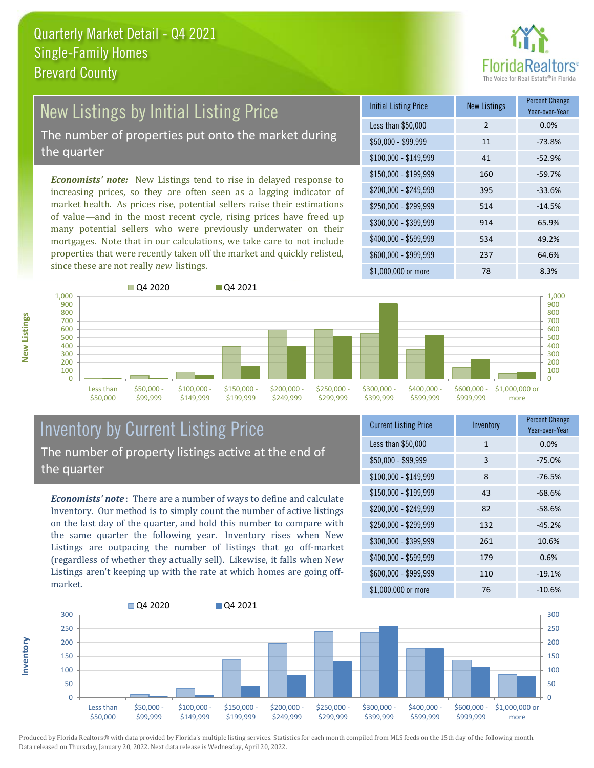

### New Listings by Initial Listing Price

The number of properties put onto the market during the quarter

*Economists' note:* New Listings tend to rise in delayed response to increasing prices, so they are often seen as a lagging indicator of market health. As prices rise, potential sellers raise their estimations of value—and in the most recent cycle, rising prices have freed up many potential sellers who were previously underwater on their mortgages. Note that in our calculations, we take care to not include properties that were recently taken off the market and quickly relisted, since these are not really *new* listings.

| <b>Initial Listing Price</b> | <b>New Listings</b> | <b>Percent Change</b><br>Year-over-Year |
|------------------------------|---------------------|-----------------------------------------|
| Less than \$50,000           | $\mathcal{P}$       | 0.0%                                    |
| $$50,000 - $99,999$          | 11                  | $-73.8%$                                |
| $$100,000 - $149,999$        | 41                  | $-52.9%$                                |
| $$150,000 - $199,999$        | 160                 | $-59.7%$                                |
| \$200,000 - \$249,999        | 395                 | $-33.6%$                                |
| \$250,000 - \$299,999        | 514                 | $-14.5%$                                |
| \$300,000 - \$399,999        | 914                 | 65.9%                                   |
| \$400,000 - \$599,999        | 534                 | 49.2%                                   |
| \$600,000 - \$999,999        | 237                 | 64.6%                                   |
| \$1,000,000 or more          | 78                  | 8.3%                                    |



#### Inventory by Current Listing Price The number of property listings active at the end of the quarter

*Economists' note* : There are a number of ways to define and calculate Inventory. Our method is to simply count the number of active listings on the last day of the quarter, and hold this number to compare with the same quarter the following year. Inventory rises when New Listings are outpacing the number of listings that go off-market (regardless of whether they actually sell). Likewise, it falls when New Listings aren't keeping up with the rate at which homes are going offmarket.

| <b>Current Listing Price</b> | Inventory    | <b>Percent Change</b><br>Year-over-Year |
|------------------------------|--------------|-----------------------------------------|
| Less than \$50,000           | $\mathbf{1}$ | 0.0%                                    |
| $$50,000 - $99,999$          | 3            | $-75.0%$                                |
| $$100,000 - $149,999$        | 8            | $-76.5%$                                |
| \$150,000 - \$199,999        | 43           | $-68.6%$                                |
| \$200,000 - \$249,999        | 82           | $-58.6%$                                |
| \$250,000 - \$299,999        | 132          | $-45.2%$                                |
| \$300,000 - \$399,999        | 261          | 10.6%                                   |
| \$400,000 - \$599,999        | 179          | 0.6%                                    |
| \$600,000 - \$999,999        | 110          | $-19.1%$                                |
| \$1,000,000 or more          | 76           | $-10.6%$                                |



Produced by Florida Realtors® with data provided by Florida's multiple listing services. Statistics for each month compiled from MLS feeds on the 15th day of the following month. Data released on Thursday, January 20, 2022. Next data release is Wednesday, April 20, 2022.

**Inventory**